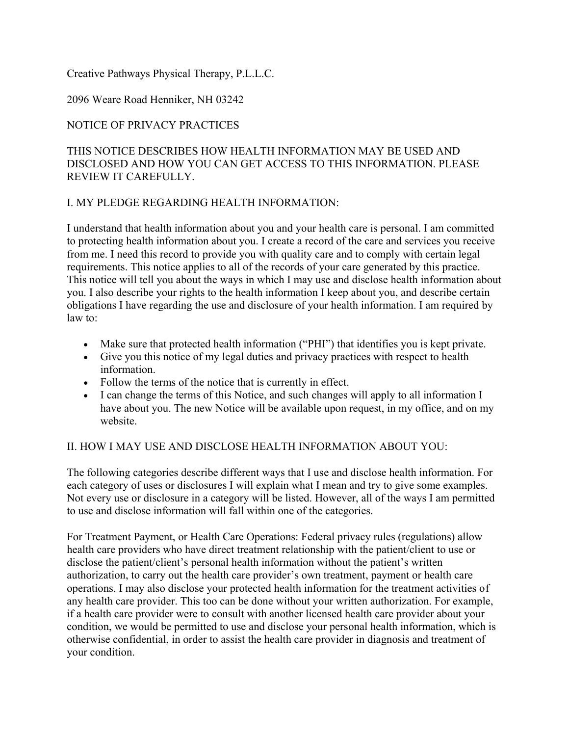#### Creative Pathways Physical Therapy, P.L.L.C.

### 2096 Weare Road Henniker, NH 03242

# NOTICE OF PRIVACY PRACTICES

### THIS NOTICE DESCRIBES HOW HEALTH INFORMATION MAY BE USED AND DISCLOSED AND HOW YOU CAN GET ACCESS TO THIS INFORMATION. PLEASE REVIEW IT CAREFULLY.

#### I. MY PLEDGE REGARDING HEALTH INFORMATION:

I understand that health information about you and your health care is personal. I am committed to protecting health information about you. I create a record of the care and services you receive from me. I need this record to provide you with quality care and to comply with certain legal requirements. This notice applies to all of the records of your care generated by this practice. This notice will tell you about the ways in which I may use and disclose health information about you. I also describe your rights to the health information I keep about you, and describe certain obligations I have regarding the use and disclosure of your health information. I am required by law to:

- Make sure that protected health information ("PHI") that identifies you is kept private.
- Give you this notice of my legal duties and privacy practices with respect to health information.
- Follow the terms of the notice that is currently in effect.
- I can change the terms of this Notice, and such changes will apply to all information I have about you. The new Notice will be available upon request, in my office, and on my website.

#### II. HOW I MAY USE AND DISCLOSE HEALTH INFORMATION ABOUT YOU:

The following categories describe different ways that I use and disclose health information. For each category of uses or disclosures I will explain what I mean and try to give some examples. Not every use or disclosure in a category will be listed. However, all of the ways I am permitted to use and disclose information will fall within one of the categories.

For Treatment Payment, or Health Care Operations: Federal privacy rules (regulations) allow health care providers who have direct treatment relationship with the patient/client to use or disclose the patient/client's personal health information without the patient's written authorization, to carry out the health care provider's own treatment, payment or health care operations. I may also disclose your protected health information for the treatment activities of any health care provider. This too can be done without your written authorization. For example, if a health care provider were to consult with another licensed health care provider about your condition, we would be permitted to use and disclose your personal health information, which is otherwise confidential, in order to assist the health care provider in diagnosis and treatment of your condition.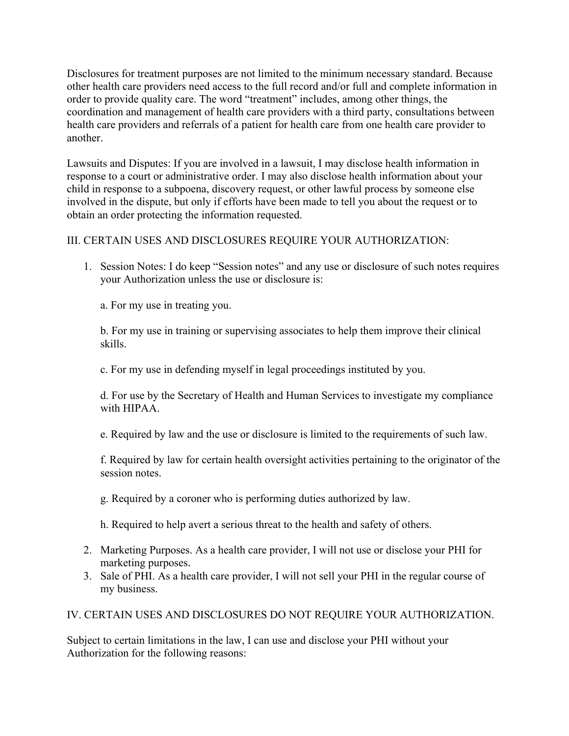Disclosures for treatment purposes are not limited to the minimum necessary standard. Because other health care providers need access to the full record and/or full and complete information in order to provide quality care. The word "treatment" includes, among other things, the coordination and management of health care providers with a third party, consultations between health care providers and referrals of a patient for health care from one health care provider to another.

Lawsuits and Disputes: If you are involved in a lawsuit, I may disclose health information in response to a court or administrative order. I may also disclose health information about your child in response to a subpoena, discovery request, or other lawful process by someone else involved in the dispute, but only if efforts have been made to tell you about the request or to obtain an order protecting the information requested.

### III. CERTAIN USES AND DISCLOSURES REQUIRE YOUR AUTHORIZATION:

1. Session Notes: I do keep "Session notes" and any use or disclosure of such notes requires your Authorization unless the use or disclosure is:

a. For my use in treating you.

b. For my use in training or supervising associates to help them improve their clinical skills.

c. For my use in defending myself in legal proceedings instituted by you.

d. For use by the Secretary of Health and Human Services to investigate my compliance with HIPAA.

e. Required by law and the use or disclosure is limited to the requirements of such law.

f. Required by law for certain health oversight activities pertaining to the originator of the session notes.

g. Required by a coroner who is performing duties authorized by law.

h. Required to help avert a serious threat to the health and safety of others.

- 2. Marketing Purposes. As a health care provider, I will not use or disclose your PHI for marketing purposes.
- 3. Sale of PHI. As a health care provider, I will not sell your PHI in the regular course of my business.

IV. CERTAIN USES AND DISCLOSURES DO NOT REQUIRE YOUR AUTHORIZATION.

Subject to certain limitations in the law, I can use and disclose your PHI without your Authorization for the following reasons: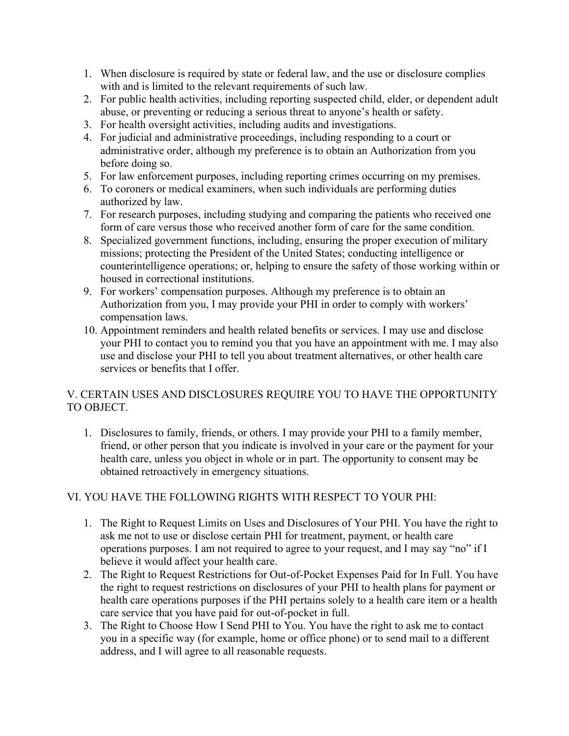- 1. When disclosure is required by state or federal law, and the use or disclosure complies with and is limited to the relevant requirements of such law.
- 2. For public health activities, including reporting suspected child, elder, or dependent adult abuse, or preventing or reducing a serious threat to anyone's health or safety.
- 3. For health oversight activities, including audits and investigations.
- 4. For judicial and administrative proceedings, including responding to a court or administrative order, although my preference is to obtain an Authorization from you before doing so.
- 5. For law enforcement purposes, including reporting crimes occurring on my premises.
- 6. To coroners or medical examiners, when such individuals are performing duties authorized by law.
- 7. For research purposes, including studying and comparing the patients who received one form of care versus those who received another form of care for the same condition.
- 8. Specialized government functions, including, ensuring the proper execution of military missions; protecting the President of the United States; conducting intelligence or counterintelligence operations; or, helping to ensure the safety of those working within or housed in correctional institutions.
- 9. For workers' compensation purposes. Although my preference is to obtain an Authorization from you, I may provide your PHI in order to comply with workers' compensation laws.
- 10. Appointment reminders and health related benefits or services. I may use and disclose your PHI to contact you to remind you that you have an appointment with me. I may also use and disclose your PHI to tell you about treatment alternatives, or other health care services or benefits that I offer.

# V. CERTAIN USES AND DISCLOSURES REQUIRE YOU TO HAVE THE OPPORTUNITY TO OBJECT.

1. Disclosures to family, friends, or others. I may provide your PHI to a family member, friend, or other person that you indicate is involved in your care or the payment for your health care, unless you object in whole or in part. The opportunity to consent may be obtained retroactively in emergency situations.

# VI. YOU HAVE THE FOLLOWING RIGHTS WITH RESPECT TO YOUR PHI:

- 1. The Right to Request Limits on Uses and Disclosures of Your PHI. You have the right to ask me not to use or disclose certain PHI for treatment, payment, or health care operations purposes. I am not required to agree to your request, and I may say "no" if I believe it would affect your health care.
- 2. The Right to Request Restrictions for Out-of-Pocket Expenses Paid for In Full. You have the right to request restrictions on disclosures of your PHI to health plans for payment or health care operations purposes if the PHI pertains solely to a health care item or a health care service that you have paid for out-of-pocket in full.
- 3. The Right to Choose How I Send PHI to You. You have the right to ask me to contact you in a specific way (for example, home or office phone) or to send mail to a different address, and I will agree to all reasonable requests.